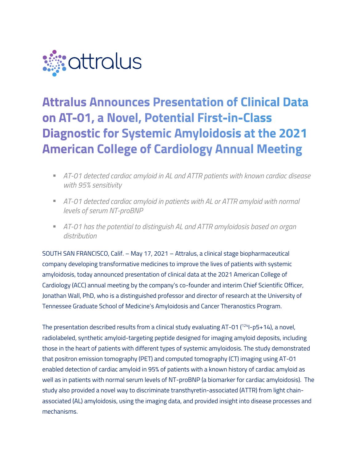

# **Attralus Announces Presentation of Clinical Data** on AT-01, a Novel, Potential First-in-Class **Diagnostic for Systemic Amyloidosis at the 2021 American College of Cardiology Annual Meeting**

- § *AT-01 detected cardiac amyloid in AL and ATTR patients with known cardiac disease with 95% sensitivity*
- § *AT-01 detected cardiac amyloid in patients with AL or ATTR amyloid with normal levels of serum NT-proBNP*
- § *AT-01 has the potential to distinguish AL and ATTR amyloidosis based on organ distribution*

SOUTH SAN FRANCISCO, Calif. – May 17, 2021 – Attralus, a clinical stage biopharmaceutical company developing transformative medicines to improve the lives of patients with systemic amyloidosis, today announced presentation of clinical data at the 2021 American College of Cardiology (ACC) annual meeting by the company's co-founder and interim Chief Scientific Officer, Jonathan Wall, PhD, who is a distinguished professor and director of research at the University of Tennessee Graduate School of Medicine's Amyloidosis and Cancer Theranostics Program.

The presentation described results from a clinical study evaluating AT-01 (<sup>124</sup>I-p5+14), a novel, radiolabeled, synthetic amyloid-targeting peptide designed for imaging amyloid deposits, including those in the heart of patients with different types of systemic amyloidosis. The study demonstrated that positron emission tomography (PET) and computed tomography (CT) imaging using AT-01 enabled detection of cardiac amyloid in 95% of patients with a known history of cardiac amyloid as well as in patients with normal serum levels of NT-proBNP (a biomarker for cardiac amyloidosis). The study also provided a novel way to discriminate transthyretin-associated (ATTR) from light chainassociated (AL) amyloidosis, using the imaging data, and provided insight into disease processes and mechanisms.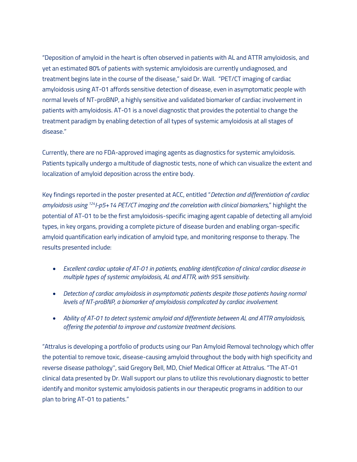"Deposition of amyloid in the heart is often observed in patients with AL and ATTR amyloidosis, and yet an estimated 80% of patients with systemic amyloidosis are currently undiagnosed, and treatment begins late in the course of the disease," said Dr. Wall. "PET/CT imaging of cardiac amyloidosis using AT-01 affords sensitive detection of disease, even in asymptomatic people with normal levels of NT-proBNP, a highly sensitive and validated biomarker of cardiac involvement in patients with amyloidosis. AT-01 is a novel diagnostic that provides the potential to change the treatment paradigm by enabling detection of all types of systemic amyloidosis at all stages of disease."

Currently, there are no FDA-approved imaging agents as diagnostics for systemic amyloidosis. Patients typically undergo a multitude of diagnostic tests, none of which can visualize the extent and localization of amyloid deposition across the entire body.

Key findings reported in the poster presented at ACC, entitled "*Detection and differentiation of cardiac amyloidosis using 124I-p5+14 PET/CT imaging and the correlation with clinical biomarkers,*" highlight the potential of AT-01 to be the first amyloidosis-specific imaging agent capable of detecting all amyloid types, in key organs, providing a complete picture of disease burden and enabling organ-specific amyloid quantification early indication of amyloid type, and monitoring response to therapy. The results presented include:

- *Excellent cardiac uptake of AT-01 in patients, enabling identification of clinical cardiac disease in multiple types of systemic amyloidosis, AL and ATTR, with 95% sensitivity.*
- *Detection of cardiac amyloidosis in asymptomatic patients despite those patients having normal levels of NT-proBNP, a biomarker of amyloidosis complicated by cardiac involvement.*
- *Ability of AT-01 to detect systemic amyloid and differentiate between AL and ATTR amyloidosis, offering the potential to improve and customize treatment decisions.*

"Attralus is developing a portfolio of products using our Pan Amyloid Removal technology which offer the potential to remove toxic, disease-causing amyloid throughout the body with high specificity and reverse disease pathology'', said Gregory Bell, MD, Chief Medical Officer at Attralus. "The AT-01 clinical data presented by Dr. Wall support our plans to utilize this revolutionary diagnostic to better identify and monitor systemic amyloidosis patients in our therapeutic programs in addition to our plan to bring AT-01 to patients."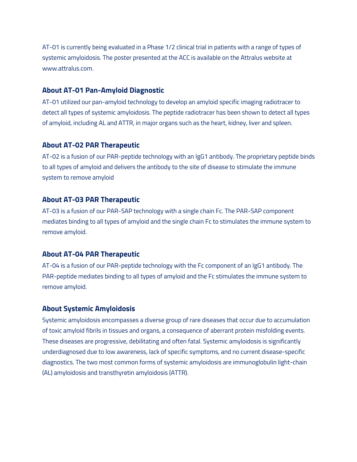AT-01 is currently being evaluated in a Phase 1/2 clinical trial in patients with a range of types of systemic amyloidosis. The poster presented at the ACC is available on the Attralus website at www.attralus.com.

### **About AT-01 Pan-Amyloid Diagnostic**

AT-01 utilized our pan-amyloid technology to develop an amyloid specific imaging radiotracer to detect all types of systemic amyloidosis. The peptide radiotracer has been shown to detect all types of amyloid, including AL and ATTR, in major organs such as the heart, kidney, liver and spleen.

#### **About AT-02 PAR Therapeutic**

AT-02 is a fusion of our PAR-peptide technology with an IgG1 antibody. The proprietary peptide binds to all types of amyloid and delivers the antibody to the site of disease to stimulate the immune system to remove amyloid

#### **About AT-03 PAR Therapeutic**

AT-03 is a fusion of our PAR-SAP technology with a single chain Fc. The PAR-SAP component mediates binding to all types of amyloid and the single chain Fc to stimulates the immune system to remove amyloid.

#### **About AT-04 PAR Therapeutic**

AT-04 is a fusion of our PAR-peptide technology with the Fc component of an IgG1 antibody. The PAR-peptide mediates binding to all types of amyloid and the Fc stimulates the immune system to remove amyloid.

## **About Systemic Amyloidosis**

Systemic amyloidosis encompasses a diverse group of rare diseases that occur due to accumulation of toxic amyloid fibrils in tissues and organs, a consequence of aberrant protein misfolding events. These diseases are progressive, debilitating and often fatal. Systemic amyloidosis is significantly underdiagnosed due to low awareness, lack of specific symptoms, and no current disease-specific diagnostics. The two most common forms of systemic amyloidosis are immunoglobulin light-chain (AL) amyloidosis and transthyretin amyloidosis (ATTR).